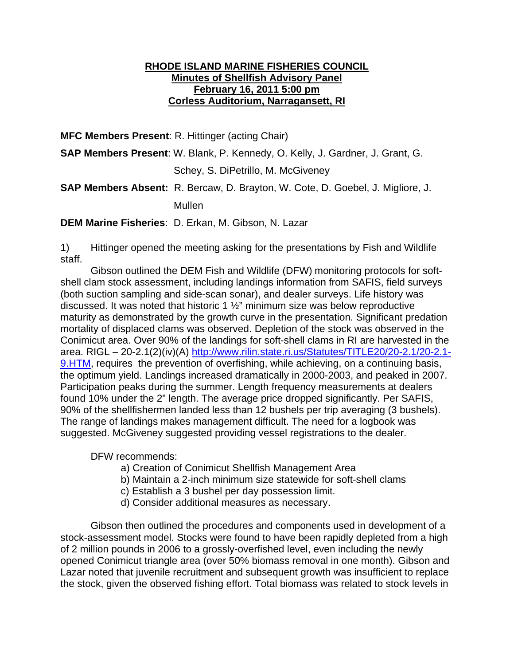## **RHODE ISLAND MARINE FISHERIES COUNCIL Minutes of Shellfish Advisory Panel February 16, 2011 5:00 pm Corless Auditorium, Narragansett, RI**

**MFC Members Present**: R. Hittinger (acting Chair)

**SAP Members Present**: W. Blank, P. Kennedy, O. Kelly, J. Gardner, J. Grant, G.

Schey, S. DiPetrillo, M. McGiveney

**SAP Members Absent:** R. Bercaw, D. Brayton, W. Cote, D. Goebel, J. Migliore, J.

Mullen

**DEM Marine Fisheries**: D. Erkan, M. Gibson, N. Lazar

1) Hittinger opened the meeting asking for the presentations by Fish and Wildlife staff.

Gibson outlined the DEM Fish and Wildlife (DFW) monitoring protocols for softshell clam stock assessment, including landings information from SAFIS, field surveys (both suction sampling and side-scan sonar), and dealer surveys. Life history was discussed. It was noted that historic 1 ½" minimum size was below reproductive maturity as demonstrated by the growth curve in the presentation. Significant predation mortality of displaced clams was observed. Depletion of the stock was observed in the Conimicut area. Over 90% of the landings for soft-shell clams in RI are harvested in the area. RIGL – 20-2.1(2)(iv)(A) http://www.rilin.state.ri.us/Statutes/TITLE20/20-2.1/20-2.1- 9.HTM, requires the prevention of overfishing, while achieving, on a continuing basis, the optimum yield. Landings increased dramatically in 2000-2003, and peaked in 2007. Participation peaks during the summer. Length frequency measurements at dealers found 10% under the 2" length. The average price dropped significantly. Per SAFIS, 90% of the shellfishermen landed less than 12 bushels per trip averaging (3 bushels). The range of landings makes management difficult. The need for a logbook was suggested. McGiveney suggested providing vessel registrations to the dealer.

DFW recommends:

- a) Creation of Conimicut Shellfish Management Area
- b) Maintain a 2-inch minimum size statewide for soft-shell clams
- c) Establish a 3 bushel per day possession limit.
- d) Consider additional measures as necessary.

Gibson then outlined the procedures and components used in development of a stock-assessment model. Stocks were found to have been rapidly depleted from a high of 2 million pounds in 2006 to a grossly-overfished level, even including the newly opened Conimicut triangle area (over 50% biomass removal in one month). Gibson and Lazar noted that juvenile recruitment and subsequent growth was insufficient to replace the stock, given the observed fishing effort. Total biomass was related to stock levels in